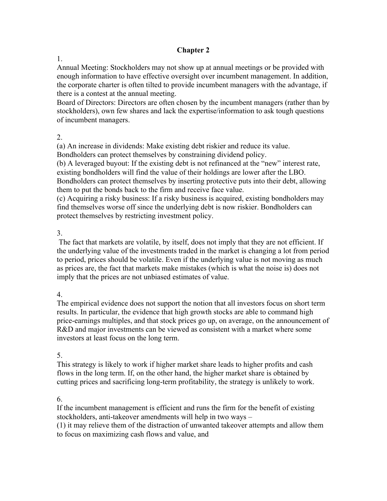#### **Chapter 2**

1.

Annual Meeting: Stockholders may not show up at annual meetings or be provided with enough information to have effective oversight over incumbent management. In addition, the corporate charter is often tilted to provide incumbent managers with the advantage, if there is a contest at the annual meeting.

Board of Directors: Directors are often chosen by the incumbent managers (rather than by stockholders), own few shares and lack the expertise/information to ask tough questions of incumbent managers.

#### 2.

(a) An increase in dividends: Make existing debt riskier and reduce its value. Bondholders can protect themselves by constraining dividend policy.

(b) A leveraged buyout: If the existing debt is not refinanced at the "new" interest rate, existing bondholders will find the value of their holdings are lower after the LBO. Bondholders can protect themselves by inserting protective puts into their debt, allowing

them to put the bonds back to the firm and receive face value.

(c) Acquiring a risky business: If a risky business is acquired, existing bondholders may find themselves worse off since the underlying debt is now riskier. Bondholders can protect themselves by restricting investment policy.

# 3.

 The fact that markets are volatile, by itself, does not imply that they are not efficient. If the underlying value of the investments traded in the market is changing a lot from period to period, prices should be volatile. Even if the underlying value is not moving as much as prices are, the fact that markets make mistakes (which is what the noise is) does not imply that the prices are not unbiased estimates of value.

# 4.

The empirical evidence does not support the notion that all investors focus on short term results. In particular, the evidence that high growth stocks are able to command high price-earnings multiples, and that stock prices go up, on average, on the announcement of R&D and major investments can be viewed as consistent with a market where some investors at least focus on the long term.

# 5.

This strategy is likely to work if higher market share leads to higher profits and cash flows in the long term. If, on the other hand, the higher market share is obtained by cutting prices and sacrificing long-term profitability, the strategy is unlikely to work.

# 6.

If the incumbent management is efficient and runs the firm for the benefit of existing stockholders, anti-takeover amendments will help in two ways –

(1) it may relieve them of the distraction of unwanted takeover attempts and allow them to focus on maximizing cash flows and value, and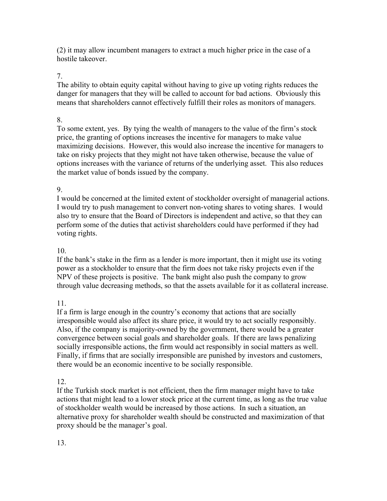(2) it may allow incumbent managers to extract a much higher price in the case of a hostile takeover.

#### 7.

The ability to obtain equity capital without having to give up voting rights reduces the danger for managers that they will be called to account for bad actions. Obviously this means that shareholders cannot effectively fulfill their roles as monitors of managers.

#### 8.

To some extent, yes. By tying the wealth of managers to the value of the firm's stock price, the granting of options increases the incentive for managers to make value maximizing decisions. However, this would also increase the incentive for managers to take on risky projects that they might not have taken otherwise, because the value of options increases with the variance of returns of the underlying asset. This also reduces the market value of bonds issued by the company.

#### 9.

I would be concerned at the limited extent of stockholder oversight of managerial actions. I would try to push management to convert non-voting shares to voting shares. I would also try to ensure that the Board of Directors is independent and active, so that they can perform some of the duties that activist shareholders could have performed if they had voting rights.

# 10.

If the bank's stake in the firm as a lender is more important, then it might use its voting power as a stockholder to ensure that the firm does not take risky projects even if the NPV of these projects is positive. The bank might also push the company to grow through value decreasing methods, so that the assets available for it as collateral increase.

11.

If a firm is large enough in the country's economy that actions that are socially irresponsible would also affect its share price, it would try to act socially responsibly. Also, if the company is majority-owned by the government, there would be a greater convergence between social goals and shareholder goals. If there are laws penalizing socially irresponsible actions, the firm would act responsibly in social matters as well. Finally, if firms that are socially irresponsible are punished by investors and customers, there would be an economic incentive to be socially responsible.

12.

If the Turkish stock market is not efficient, then the firm manager might have to take actions that might lead to a lower stock price at the current time, as long as the true value of stockholder wealth would be increased by those actions. In such a situation, an alternative proxy for shareholder wealth should be constructed and maximization of that proxy should be the manager's goal.